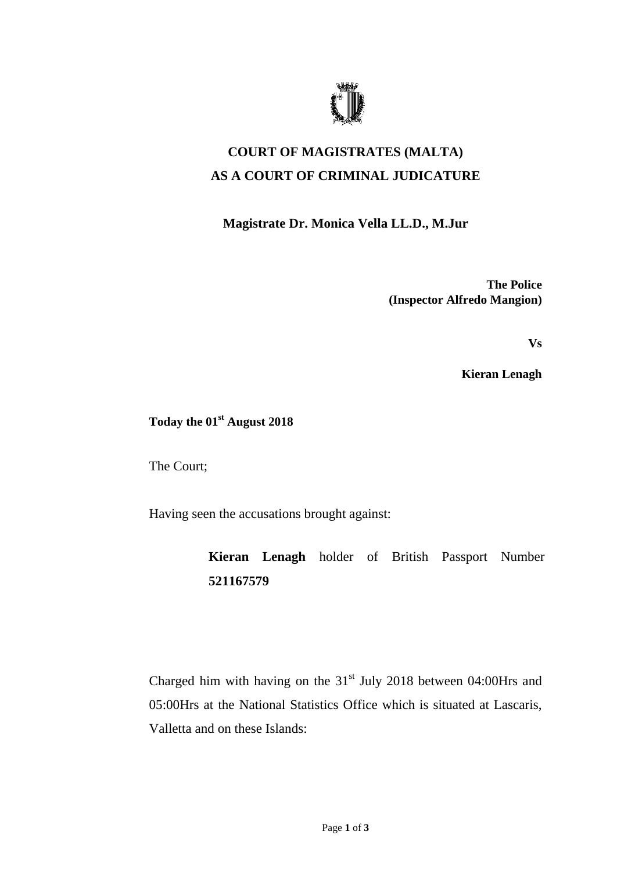

## **COURT OF MAGISTRATES (MALTA) AS A COURT OF CRIMINAL JUDICATURE**

## **Magistrate Dr. Monica Vella LL.D., M.Jur**

**The Police (Inspector Alfredo Mangion)**

**Vs**

**Kieran Lenagh**

## **Today the 01st August 2018**

The Court;

Having seen the accusations brought against:

**Kieran Lenagh** holder of British Passport Number **521167579**

Charged him with having on the  $31<sup>st</sup>$  July 2018 between 04:00Hrs and 05:00Hrs at the National Statistics Office which is situated at Lascaris, Valletta and on these Islands: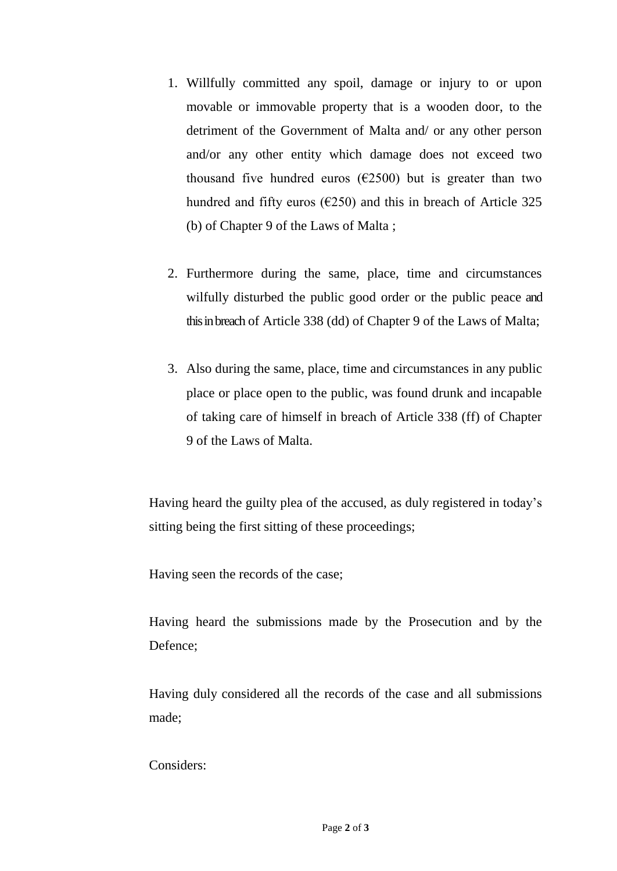- 1. Willfully committed any spoil, damage or injury to or upon movable or immovable property that is a wooden door, to the detriment of the Government of Malta and/ or any other person and/or any other entity which damage does not exceed two thousand five hundred euros ( $\epsilon$ 2500) but is greater than two hundred and fifty euros ( $\epsilon$ 250) and this in breach of Article 325 (b) of Chapter 9 of the Laws of Malta ;
- 2. Furthermore during the same, place, time and circumstances wilfully disturbed the public good order or the public peace and this in breach of Article 338 (dd) of Chapter 9 of the Laws of Malta;
- 3. Also during the same, place, time and circumstances in any public place or place open to the public, was found drunk and incapable of taking care of himself in breach of Article 338 (ff) of Chapter 9 of the Laws of Malta.

Having heard the guilty plea of the accused, as duly registered in today's sitting being the first sitting of these proceedings;

Having seen the records of the case;

Having heard the submissions made by the Prosecution and by the Defence;

Having duly considered all the records of the case and all submissions made;

Considers: